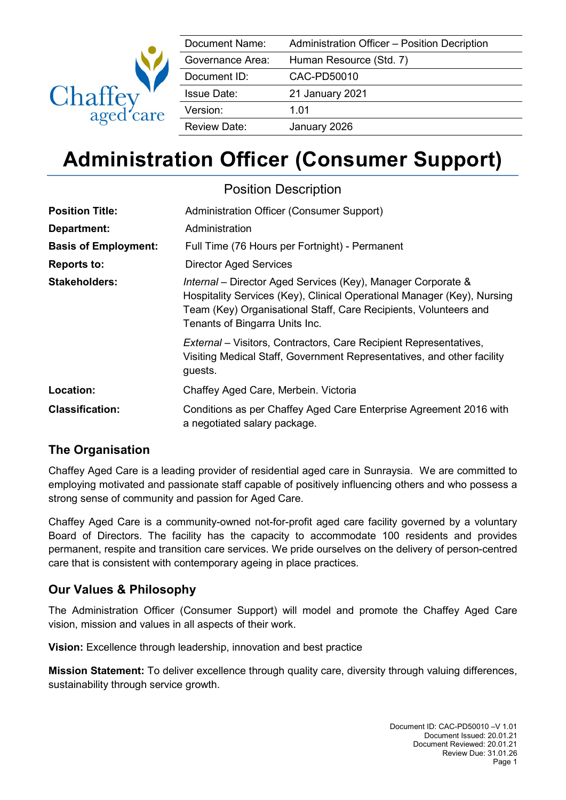

| Document Name:      | Administration Officer - Position Decription |
|---------------------|----------------------------------------------|
| Governance Area:    | Human Resource (Std. 7)                      |
| Document ID:        | CAC-PD50010                                  |
| <b>Issue Date:</b>  | 21 January 2021                              |
| Version:            | 1.01                                         |
| <b>Review Date:</b> | January 2026                                 |

# **Administration Officer (Consumer Support)**

| <b>Position Description</b> |                                                                                                                                                                                                                                               |  |
|-----------------------------|-----------------------------------------------------------------------------------------------------------------------------------------------------------------------------------------------------------------------------------------------|--|
| <b>Position Title:</b>      | Administration Officer (Consumer Support)                                                                                                                                                                                                     |  |
| Department:                 | Administration                                                                                                                                                                                                                                |  |
| <b>Basis of Employment:</b> | Full Time (76 Hours per Fortnight) - Permanent                                                                                                                                                                                                |  |
| <b>Reports to:</b>          | <b>Director Aged Services</b>                                                                                                                                                                                                                 |  |
| <b>Stakeholders:</b>        | Internal - Director Aged Services (Key), Manager Corporate &<br>Hospitality Services (Key), Clinical Operational Manager (Key), Nursing<br>Team (Key) Organisational Staff, Care Recipients, Volunteers and<br>Tenants of Bingarra Units Inc. |  |
|                             | <i>External</i> – Visitors, Contractors, Care Recipient Representatives,<br>Visiting Medical Staff, Government Representatives, and other facility<br>guests.                                                                                 |  |
| Location:                   | Chaffey Aged Care, Merbein. Victoria                                                                                                                                                                                                          |  |
| <b>Classification:</b>      | Conditions as per Chaffey Aged Care Enterprise Agreement 2016 with<br>a negotiated salary package.                                                                                                                                            |  |

### **The Organisation**

Chaffey Aged Care is a leading provider of residential aged care in Sunraysia. We are committed to employing motivated and passionate staff capable of positively influencing others and who possess a strong sense of community and passion for Aged Care.

Chaffey Aged Care is a community-owned not-for-profit aged care facility governed by a voluntary Board of Directors. The facility has the capacity to accommodate 100 residents and provides permanent, respite and transition care services. We pride ourselves on the delivery of person-centred care that is consistent with contemporary ageing in place practices.

### **Our Values & Philosophy**

The Administration Officer (Consumer Support) will model and promote the Chaffey Aged Care vision, mission and values in all aspects of their work.

**Vision:** Excellence through leadership, innovation and best practice

**Mission Statement:** To deliver excellence through quality care, diversity through valuing differences, sustainability through service growth.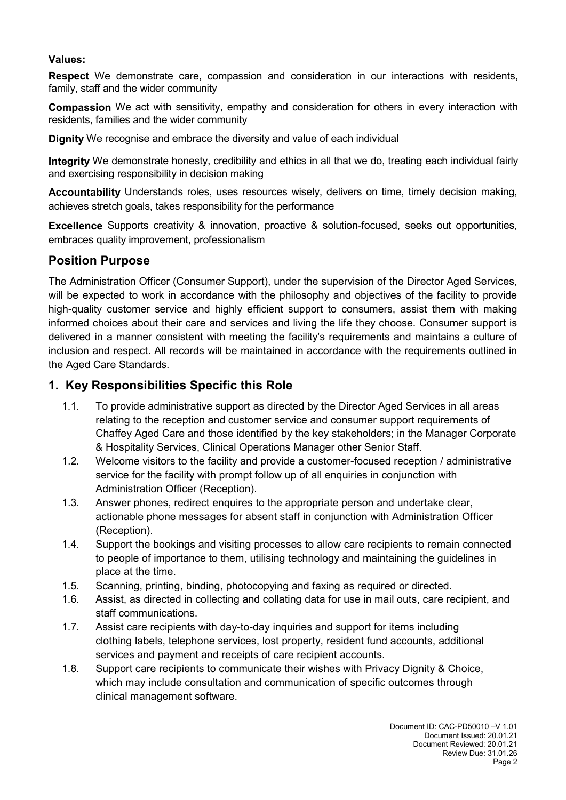#### **Values:**

**Respect** We demonstrate care, compassion and consideration in our interactions with residents, family, staff and the wider community

**Compassion** We act with sensitivity, empathy and consideration for others in every interaction with residents, families and the wider community

**Dignity** We recognise and embrace the diversity and value of each individual

**Integrity** We demonstrate honesty, credibility and ethics in all that we do, treating each individual fairly and exercising responsibility in decision making

**Accountability** Understands roles, uses resources wisely, delivers on time, timely decision making, achieves stretch goals, takes responsibility for the performance

**Excellence** Supports creativity & innovation, proactive & solution-focused, seeks out opportunities, embraces quality improvement, professionalism

#### **Position Purpose**

The Administration Officer (Consumer Support), under the supervision of the Director Aged Services, will be expected to work in accordance with the philosophy and objectives of the facility to provide high-quality customer service and highly efficient support to consumers, assist them with making informed choices about their care and services and living the life they choose. Consumer support is delivered in a manner consistent with meeting the facility's requirements and maintains a culture of inclusion and respect. All records will be maintained in accordance with the requirements outlined in the Aged Care Standards.

#### **1. Key Responsibilities Specific this Role**

- 1.1. To provide administrative support as directed by the Director Aged Services in all areas relating to the reception and customer service and consumer support requirements of Chaffey Aged Care and those identified by the key stakeholders; in the Manager Corporate & Hospitality Services, Clinical Operations Manager other Senior Staff.
- 1.2. Welcome visitors to the facility and provide a customer-focused reception / administrative service for the facility with prompt follow up of all enquiries in conjunction with Administration Officer (Reception).
- 1.3. Answer phones, redirect enquires to the appropriate person and undertake clear, actionable phone messages for absent staff in conjunction with Administration Officer (Reception).
- 1.4. Support the bookings and visiting processes to allow care recipients to remain connected to people of importance to them, utilising technology and maintaining the guidelines in place at the time.
- 1.5. Scanning, printing, binding, photocopying and faxing as required or directed.
- 1.6. Assist, as directed in collecting and collating data for use in mail outs, care recipient, and staff communications.
- 1.7. Assist care recipients with day-to-day inquiries and support for items including clothing labels, telephone services, lost property, resident fund accounts, additional services and payment and receipts of care recipient accounts.
- 1.8. Support care recipients to communicate their wishes with Privacy Dignity & Choice, which may include consultation and communication of specific outcomes through clinical management software.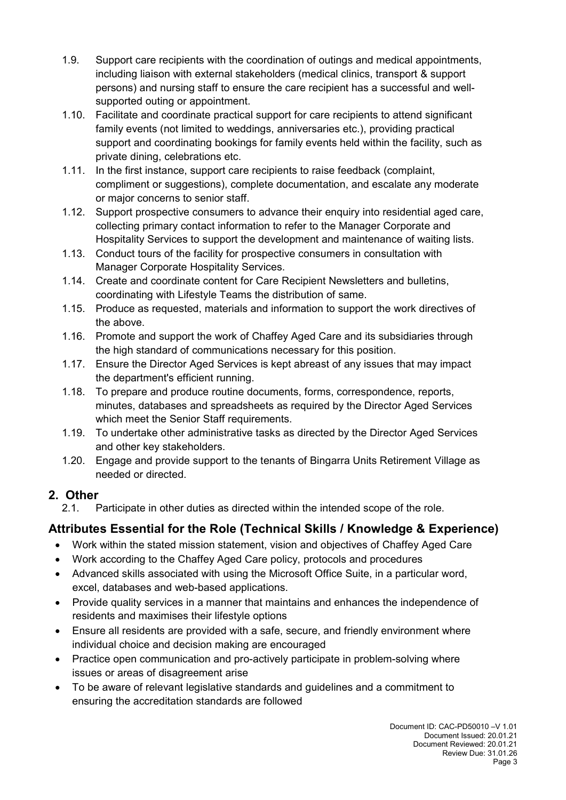- 1.9. Support care recipients with the coordination of outings and medical appointments, including liaison with external stakeholders (medical clinics, transport & support persons) and nursing staff to ensure the care recipient has a successful and wellsupported outing or appointment.
- 1.10. Facilitate and coordinate practical support for care recipients to attend significant family events (not limited to weddings, anniversaries etc.), providing practical support and coordinating bookings for family events held within the facility, such as private dining, celebrations etc.
- 1.11. In the first instance, support care recipients to raise feedback (complaint, compliment or suggestions), complete documentation, and escalate any moderate or major concerns to senior staff.
- 1.12. Support prospective consumers to advance their enquiry into residential aged care, collecting primary contact information to refer to the Manager Corporate and Hospitality Services to support the development and maintenance of waiting lists.
- 1.13. Conduct tours of the facility for prospective consumers in consultation with Manager Corporate Hospitality Services.
- 1.14. Create and coordinate content for Care Recipient Newsletters and bulletins, coordinating with Lifestyle Teams the distribution of same.
- 1.15. Produce as requested, materials and information to support the work directives of the above.
- 1.16. Promote and support the work of Chaffey Aged Care and its subsidiaries through the high standard of communications necessary for this position.
- 1.17. Ensure the Director Aged Services is kept abreast of any issues that may impact the department's efficient running.
- 1.18. To prepare and produce routine documents, forms, correspondence, reports, minutes, databases and spreadsheets as required by the Director Aged Services which meet the Senior Staff requirements.
- 1.19. To undertake other administrative tasks as directed by the Director Aged Services and other key stakeholders.
- 1.20. Engage and provide support to the tenants of Bingarra Units Retirement Village as needed or directed.

### **2. Other**

2.1. Participate in other duties as directed within the intended scope of the role.

# **Attributes Essential for the Role (Technical Skills / Knowledge & Experience)**

- Work within the stated mission statement, vision and objectives of Chaffey Aged Care
- Work according to the Chaffey Aged Care policy, protocols and procedures
- Advanced skills associated with using the Microsoft Office Suite, in a particular word, excel, databases and web-based applications.
- Provide quality services in a manner that maintains and enhances the independence of residents and maximises their lifestyle options
- Ensure all residents are provided with a safe, secure, and friendly environment where individual choice and decision making are encouraged
- Practice open communication and pro-actively participate in problem-solving where issues or areas of disagreement arise
- To be aware of relevant legislative standards and guidelines and a commitment to ensuring the accreditation standards are followed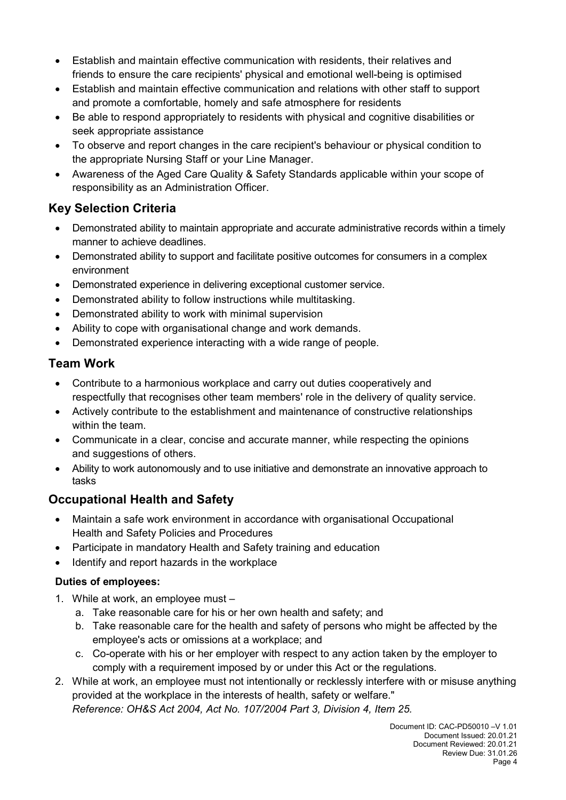- Establish and maintain effective communication with residents, their relatives and friends to ensure the care recipients' physical and emotional well-being is optimised
- Establish and maintain effective communication and relations with other staff to support and promote a comfortable, homely and safe atmosphere for residents
- Be able to respond appropriately to residents with physical and cognitive disabilities or seek appropriate assistance
- To observe and report changes in the care recipient's behaviour or physical condition to the appropriate Nursing Staff or your Line Manager.
- Awareness of the Aged Care Quality & Safety Standards applicable within your scope of responsibility as an Administration Officer.

# **Key Selection Criteria**

- Demonstrated ability to maintain appropriate and accurate administrative records within a timely manner to achieve deadlines.
- Demonstrated ability to support and facilitate positive outcomes for consumers in a complex environment
- Demonstrated experience in delivering exceptional customer service.
- Demonstrated ability to follow instructions while multitasking.
- Demonstrated ability to work with minimal supervision
- Ability to cope with organisational change and work demands.
- Demonstrated experience interacting with a wide range of people.

## **Team Work**

- Contribute to a harmonious workplace and carry out duties cooperatively and respectfully that recognises other team members' role in the delivery of quality service.
- Actively contribute to the establishment and maintenance of constructive relationships within the team.
- Communicate in a clear, concise and accurate manner, while respecting the opinions and suggestions of others.
- Ability to work autonomously and to use initiative and demonstrate an innovative approach to tasks

# **Occupational Health and Safety**

- Maintain a safe work environment in accordance with organisational Occupational Health and Safety Policies and Procedures
- Participate in mandatory Health and Safety training and education
- Identify and report hazards in the workplace

### **Duties of employees:**

- 1. While at work, an employee must
	- a. Take reasonable care for his or her own health and safety; and
	- b. Take reasonable care for the health and safety of persons who might be affected by the employee's acts or omissions at a workplace; and
	- c. Co-operate with his or her employer with respect to any action taken by the employer to comply with a requirement imposed by or under this Act or the regulations.
- 2. While at work, an employee must not intentionally or recklessly interfere with or misuse anything provided at the workplace in the interests of health, safety or welfare."

*Reference: OH&S Act 2004, Act No. 107/2004 Part 3, Division 4, Item 25.*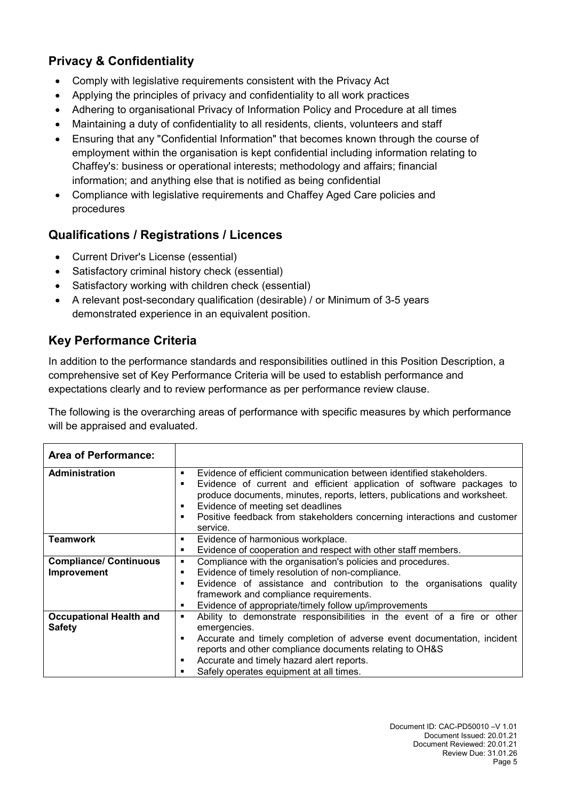## **Privacy & Confidentiality**

- Comply with legislative requirements consistent with the Privacy Act
- Applying the principles of privacy and confidentiality to all work practices
- Adhering to organisational Privacy of Information Policy and Procedure at all times
- Maintaining a duty of confidentiality to all residents, clients, volunteers and staff
- Ensuring that any "Confidential Information" that becomes known through the course of employment within the organisation is kept confidential including information relating to Chaffey's: business or operational interests; methodology and affairs; financial information; and anything else that is notified as being confidential
- Compliance with legislative requirements and Chaffey Aged Care policies and procedures

## **Qualifications / Registrations / Licences**

- Current Driver's License (essential)
- Satisfactory criminal history check (essential)
- Satisfactory working with children check (essential)
- A relevant post-secondary qualification (desirable) / or Minimum of 3-5 years demonstrated experience in an equivalent position.

## **Key Performance Criteria**

In addition to the performance standards and responsibilities outlined in this Position Description, a comprehensive set of Key Performance Criteria will be used to establish performance and expectations clearly and to review performance as per performance review clause.

The following is the overarching areas of performance with specific measures by which performance will be appraised and evaluated.

| <b>Area of Performance:</b>    |                                                                                                                                                                                                                                      |                                                                                                               |  |
|--------------------------------|--------------------------------------------------------------------------------------------------------------------------------------------------------------------------------------------------------------------------------------|---------------------------------------------------------------------------------------------------------------|--|
| <b>Administration</b>          | Evidence of efficient communication between identified stakeholders.<br>٠<br>Evidence of current and efficient application of software packages to<br>٠<br>produce documents, minutes, reports, letters, publications and worksheet. |                                                                                                               |  |
|                                | ٠<br>٠                                                                                                                                                                                                                               | Evidence of meeting set deadlines<br>Positive feedback from stakeholders concerning interactions and customer |  |
|                                |                                                                                                                                                                                                                                      | service.                                                                                                      |  |
| <b>Teamwork</b>                | ٠                                                                                                                                                                                                                                    | Evidence of harmonious workplace.                                                                             |  |
|                                | ٠                                                                                                                                                                                                                                    | Evidence of cooperation and respect with other staff members.                                                 |  |
| <b>Compliance/ Continuous</b>  | ٠                                                                                                                                                                                                                                    | Compliance with the organisation's policies and procedures.                                                   |  |
| Improvement                    | ٠                                                                                                                                                                                                                                    | Evidence of timely resolution of non-compliance.                                                              |  |
|                                |                                                                                                                                                                                                                                      | Evidence of assistance and contribution to the organisations quality                                          |  |
|                                |                                                                                                                                                                                                                                      | framework and compliance requirements.                                                                        |  |
|                                | ٠                                                                                                                                                                                                                                    | Evidence of appropriate/timely follow up/improvements                                                         |  |
| <b>Occupational Health and</b> | ٠                                                                                                                                                                                                                                    | Ability to demonstrate responsibilities in the event of a fire or other                                       |  |
| <b>Safety</b>                  |                                                                                                                                                                                                                                      | emergencies.                                                                                                  |  |
|                                | п                                                                                                                                                                                                                                    | Accurate and timely completion of adverse event documentation, incident                                       |  |
|                                |                                                                                                                                                                                                                                      | reports and other compliance documents relating to OH&S                                                       |  |
|                                | п                                                                                                                                                                                                                                    | Accurate and timely hazard alert reports.                                                                     |  |
|                                |                                                                                                                                                                                                                                      | Safely operates equipment at all times.                                                                       |  |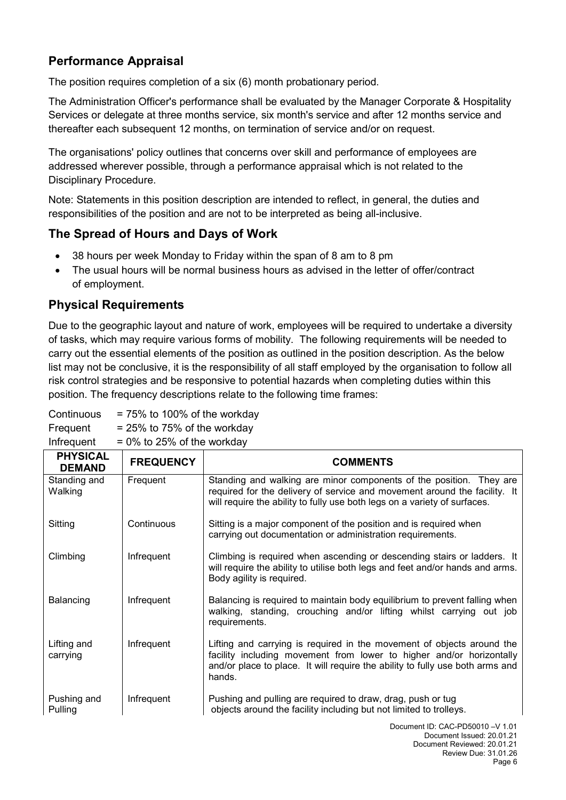## **Performance Appraisal**

The position requires completion of a six (6) month probationary period.

The Administration Officer's performance shall be evaluated by the Manager Corporate & Hospitality Services or delegate at three months service, six month's service and after 12 months service and thereafter each subsequent 12 months, on termination of service and/or on request.

The organisations' policy outlines that concerns over skill and performance of employees are addressed wherever possible, through a performance appraisal which is not related to the Disciplinary Procedure.

Note: Statements in this position description are intended to reflect, in general, the duties and responsibilities of the position and are not to be interpreted as being all-inclusive.

#### **The Spread of Hours and Days of Work**

- 38 hours per week Monday to Friday within the span of 8 am to 8 pm
- The usual hours will be normal business hours as advised in the letter of offer/contract of employment.

## **Physical Requirements**

Due to the geographic layout and nature of work, employees will be required to undertake a diversity of tasks, which may require various forms of mobility. The following requirements will be needed to carry out the essential elements of the position as outlined in the position description. As the below list may not be conclusive, it is the responsibility of all staff employed by the organisation to follow all risk control strategies and be responsive to potential hazards when completing duties within this position. The frequency descriptions relate to the following time frames:

| $= 0\%$ to 25% of the workday<br>Infrequent |                  |                                                                                                                                                                                                                                           |
|---------------------------------------------|------------------|-------------------------------------------------------------------------------------------------------------------------------------------------------------------------------------------------------------------------------------------|
| <b>PHYSICAL</b><br><b>DEMAND</b>            | <b>FREQUENCY</b> | <b>COMMENTS</b>                                                                                                                                                                                                                           |
| Standing and<br>Walking                     | Frequent         | Standing and walking are minor components of the position. They are<br>required for the delivery of service and movement around the facility. It<br>will require the ability to fully use both legs on a variety of surfaces.             |
| Sitting                                     | Continuous       | Sitting is a major component of the position and is required when<br>carrying out documentation or administration requirements.                                                                                                           |
| Climbing                                    | Infrequent       | Climbing is required when ascending or descending stairs or ladders. It<br>will require the ability to utilise both legs and feet and/or hands and arms.<br>Body agility is required.                                                     |
| Balancing                                   | Infrequent       | Balancing is required to maintain body equilibrium to prevent falling when<br>walking, standing, crouching and/or lifting whilst carrying out job<br>requirements.                                                                        |
| Lifting and<br>carrying                     | Infrequent       | Lifting and carrying is required in the movement of objects around the<br>facility including movement from lower to higher and/or horizontally<br>and/or place to place. It will require the ability to fully use both arms and<br>hands. |
| Pushing and<br>Pulling                      | Infrequent       | Pushing and pulling are required to draw, drag, push or tug<br>objects around the facility including but not limited to trolleys.                                                                                                         |
|                                             |                  | Document ID: CAC-PD50010 - V 1.01                                                                                                                                                                                                         |

Frequent  $= 25\%$  to 75% of the workday

Continuous  $= 75\%$  to 100% of the workday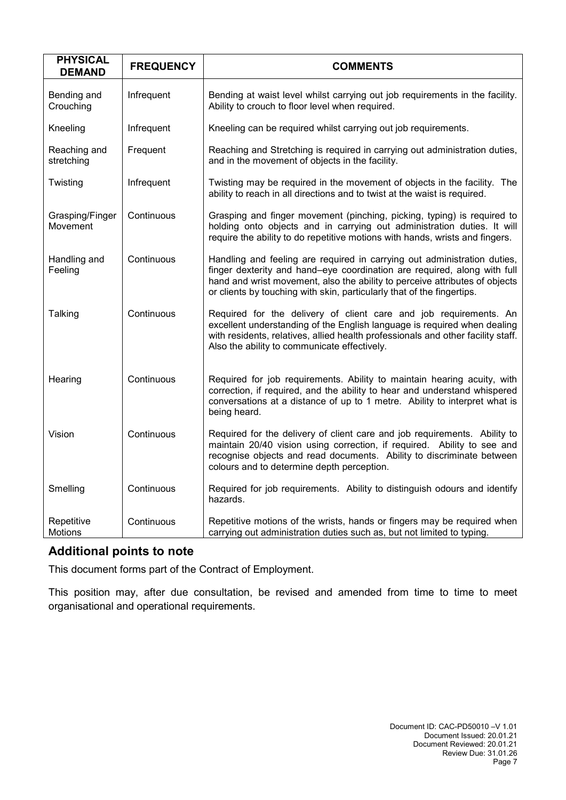| <b>PHYSICAL</b><br><b>DEMAND</b> | <b>FREQUENCY</b> | <b>COMMENTS</b>                                                                                                                                                                                                                                                                                               |
|----------------------------------|------------------|---------------------------------------------------------------------------------------------------------------------------------------------------------------------------------------------------------------------------------------------------------------------------------------------------------------|
| Bending and<br>Crouching         | Infrequent       | Bending at waist level whilst carrying out job requirements in the facility.<br>Ability to crouch to floor level when required.                                                                                                                                                                               |
| Kneeling                         | Infrequent       | Kneeling can be required whilst carrying out job requirements.                                                                                                                                                                                                                                                |
| Reaching and<br>stretching       | Frequent         | Reaching and Stretching is required in carrying out administration duties,<br>and in the movement of objects in the facility.                                                                                                                                                                                 |
| Twisting                         | Infrequent       | Twisting may be required in the movement of objects in the facility. The<br>ability to reach in all directions and to twist at the waist is required.                                                                                                                                                         |
| Grasping/Finger<br>Movement      | Continuous       | Grasping and finger movement (pinching, picking, typing) is required to<br>holding onto objects and in carrying out administration duties. It will<br>require the ability to do repetitive motions with hands, wrists and fingers.                                                                            |
| Handling and<br>Feeling          | Continuous       | Handling and feeling are required in carrying out administration duties,<br>finger dexterity and hand-eye coordination are required, along with full<br>hand and wrist movement, also the ability to perceive attributes of objects<br>or clients by touching with skin, particularly that of the fingertips. |
| Talking                          | Continuous       | Required for the delivery of client care and job requirements. An<br>excellent understanding of the English language is required when dealing<br>with residents, relatives, allied health professionals and other facility staff.<br>Also the ability to communicate effectively.                             |
| Hearing                          | Continuous       | Required for job requirements. Ability to maintain hearing acuity, with<br>correction, if required, and the ability to hear and understand whispered<br>conversations at a distance of up to 1 metre. Ability to interpret what is<br>being heard.                                                            |
| Vision                           | Continuous       | Required for the delivery of client care and job requirements. Ability to<br>maintain 20/40 vision using correction, if required. Ability to see and<br>recognise objects and read documents. Ability to discriminate between<br>colours and to determine depth perception.                                   |
| Smelling                         | Continuous       | Required for job requirements. Ability to distinguish odours and identify<br>hazards.                                                                                                                                                                                                                         |
| Repetitive<br>Motions            | Continuous       | Repetitive motions of the wrists, hands or fingers may be required when<br>carrying out administration duties such as, but not limited to typing.                                                                                                                                                             |

## **Additional points to note**

This document forms part of the Contract of Employment.

This position may, after due consultation, be revised and amended from time to time to meet organisational and operational requirements.